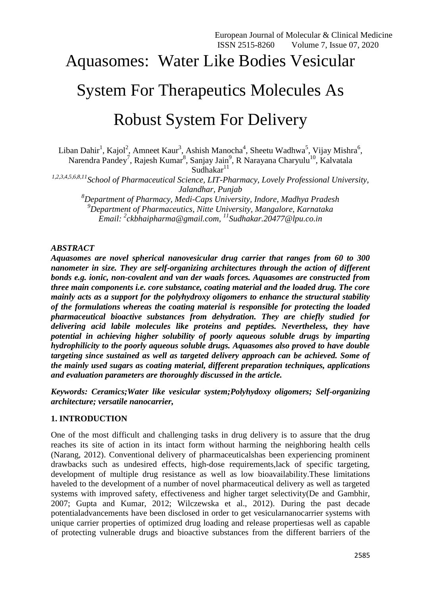# Aquasomes: Water Like Bodies Vesicular System For Therapeutics Molecules As

# Robust System For Delivery

Liban Dahir<sup>1</sup>, Kajol<sup>2</sup>, Amneet Kaur<sup>3</sup>, Ashish Manocha<sup>4</sup>, Sheetu Wadhwa<sup>5</sup>, Vijay Mishra<sup>6</sup>,

Narendra Pandey<sup>7</sup>, Rajesh Kumar<sup>8</sup>, Sanjay Jain<sup>9</sup>, R Narayana Charyulu<sup>10</sup>, Kalvatala Sudhakar $11$ 

*1,2,3,4,5,6,8,11School of Pharmaceutical Science, LIT-Pharmacy, Lovely Professional University, Jalandhar, Punjab*

*<sup>8</sup>Department of Pharmacy, Medi-Caps University, Indore, Madhya Pradesh <sup>9</sup>Department of Pharmaceutics, Nitte University, Mangalore, Karnataka Email: <sup>2</sup> [ckbhaipharma@gmail.com,](mailto:ckbhaipharma@gmail.com) <sup>11</sup>[Sudhakar.20477@lpu.co.in](mailto:Sudhakar.20477@lpu.co.in)*

# *ABSTRACT*

*Aquasomes are novel spherical nanovesicular drug carrier that ranges from 60 to 300 nanometer in size. They are self-organizing architectures through the action of different bonds e.g. ionic, non-covalent and van der waals forces. Aquasomes are constructed from three main components i.e. core substance, coating material and the loaded drug. The core mainly acts as a support for the polyhydroxy oligomers to enhance the structural stability of the formulations whereas the coating material is responsible for protecting the loaded pharmaceutical bioactive substances from dehydration. They are chiefly studied for delivering acid labile molecules like proteins and peptides. Nevertheless, they have potential in achieving higher solubility of poorly aqueous soluble drugs by imparting hydrophilicity to the poorly aqueous soluble drugs. Aquasomes also proved to have double targeting since sustained as well as targeted delivery approach can be achieved. Some of the mainly used sugars as coating material, different preparation techniques, applications and evaluation parameters are thoroughly discussed in the article.* 

*Keywords: Ceramics;Water like vesicular system;Polyhydoxy oligomers; Self-organizing architecture; versatile nanocarrier,* 

# **1. INTRODUCTION**

One of the most difficult and challenging tasks in drug delivery is to assure that the drug reaches its site of action in its intact form without harming the neighboring health cells (Narang, 2012). Conventional delivery of pharmaceuticalshas been experiencing prominent drawbacks such as undesired effects, high-dose requirements,lack of specific targeting, development of multiple drug resistance as well as low bioavailability.These limitations haveled to the development of a number of novel pharmaceutical delivery as well as targeted systems with improved safety, effectiveness and higher target selectivity(De and Gambhir, 2007; Gupta and Kumar, 2012; Wilczewska et al., 2012). During the past decade potentialadvancements have been disclosed in order to get vesicularnanocarrier systems with unique carrier properties of optimized drug loading and release propertiesas well as capable of protecting vulnerable drugs and bioactive substances from the different barriers of the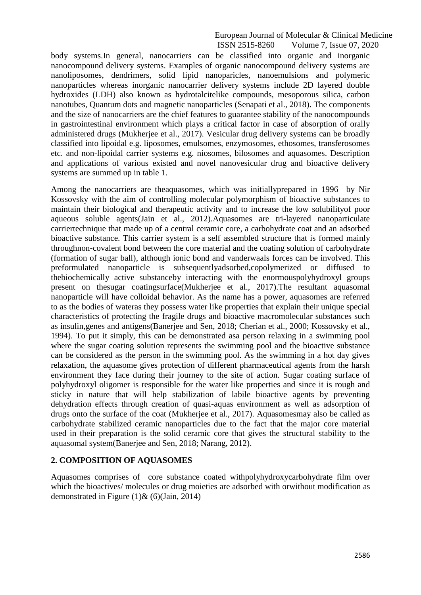body systems.In general, nanocarriers can be classified into organic and inorganic nanocompound delivery systems. Examples of organic nanocompound delivery systems are nanoliposomes, dendrimers, solid lipid nanoparicles, nanoemulsions and polymeric nanoparticles whereas inorganic nanocarrier delivery systems include 2D layered double hydroxides (LDH) also known as hydrotalcitelike compounds, mesoporous silica, carbon nanotubes, Quantum dots and magnetic nanoparticles (Senapati et al., 2018). The components and the size of nanocarriers are the chief features to guarantee stability of the nanocompounds in gastrointestinal environment which plays a critical factor in case of absorption of orally administered drugs (Mukherjee et al., 2017). Vesicular drug delivery systems can be broadly classified into lipoidal e.g. liposomes, emulsomes, enzymosomes, ethosomes, transferosomes etc. and non-lipoidal carrier systems e.g. niosomes, bilosomes and aquasomes. Description and applications of various existed and novel nanovesicular drug and bioactive delivery systems are summed up in table 1.

Among the nanocarriers are theaquasomes, which was initiallyprepared in 1996 by Nir Kossovsky with the aim of controlling molecular polymorphism of bioactive substances to maintain their biological and therapeutic activity and to increase the low solubilityof poor aqueous soluble agents(Jain et al., 2012).Aquasomes are tri-layered nanoparticulate carriertechnique that made up of a central ceramic core, a carbohydrate coat and an adsorbed bioactive substance. This carrier system is a self assembled structure that is formed mainly throughnon-covalent bond between the core material and the coating solution of carbohydrate (formation of sugar ball), although ionic bond and vanderwaals forces can be involved. This preformulated nanoparticle is subsequentlyadsorbed,copolymerized or diffused to thebiochemically active substanceby interacting with the enormouspolyhydroxyl groups present on thesugar coatingsurface(Mukherjee et al., 2017).The resultant aquasomal nanoparticle will have colloidal behavior. As the name has a power, aquasomes are referred to as the bodies of wateras they possess water like properties that explain their unique special characteristics of protecting the fragile drugs and bioactive macromolecular substances such as insulin,genes and antigens(Banerjee and Sen, 2018; Cherian et al., 2000; Kossovsky et al., 1994). To put it simply, this can be demonstrated asa person relaxing in a swimming pool where the sugar coating solution represents the swimming pool and the bioactive substance can be considered as the person in the swimming pool. As the swimming in a hot day gives relaxation, the aquasome gives protection of different pharmaceutical agents from the harsh environment they face during their journey to the site of action. Sugar coating surface of polyhydroxyl oligomer is responsible for the water like properties and since it is rough and sticky in nature that will help stabilization of labile bioactive agents by preventing dehydration effects through creation of quasi-aquas environment as well as adsorption of drugs onto the surface of the coat (Mukherjee et al., 2017). Aquasomesmay also be called as carbohydrate stabilized ceramic nanoparticles due to the fact that the major core material used in their preparation is the solid ceramic core that gives the structural stability to the aquasomal system(Banerjee and Sen, 2018; Narang, 2012).

# **2. COMPOSITION OF AQUASOMES**

Aquasomes comprises of core substance coated withpolyhydroxycarbohydrate film over which the bioactives/ molecules or drug moieties are adsorbed with orwithout modification as demonstrated in Figure  $(1)$ &  $(6)$ (Jain, 2014)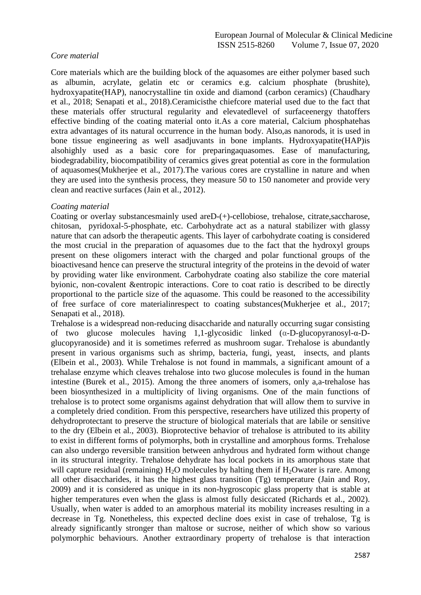# *Core material*

Core materials which are the building block of the aquasomes are either polymer based such as albumin, acrylate, gelatin etc or ceramics e.g. calcium phosphate (brushite), hydroxyapatite(HAP), nanocrystalline tin oxide and diamond (carbon ceramics) (Chaudhary et al., 2018; Senapati et al., 2018).Ceramicisthe chiefcore material used due to the fact that these materials offer structural regularity and elevatedlevel of surfaceenergy thatoffers effective binding of the coating material onto it.As a core material, Calcium phosphatehas extra advantages of its natural occurrence in the human body. Also,as nanorods, it is used in bone tissue engineering as well asadjuvants in bone implants. Hydroxyapatite(HAP)is alsohighly used as a basic core for preparingaquasomes. Ease of manufacturing, biodegradability, biocompatibility of ceramics gives great potential as core in the formulation of aquasomes(Mukherjee et al., 2017).The various cores are crystalline in nature and when they are used into the synthesis process, they measure 50 to 150 nanometer and provide very clean and reactive surfaces (Jain et al., 2012).

#### *Coating material*

Coating or overlay substancesmainly used areD-(+)-cellobiose, trehalose, citrate,saccharose, chitosan, pyridoxal-5-phosphate, etc. Carbohydrate act as a natural stabilizer with glassy nature that can adsorb the therapeutic agents. This layer of carbohydrate coating is considered the most crucial in the preparation of aquasomes due to the fact that the hydroxyl groups present on these oligomers interact with the charged and polar functional groups of the bioactivesand hence can preserve the structural integrity of the proteins in the devoid of water by providing water like environment. Carbohydrate coating also stabilize the core material byionic, non-covalent &entropic interactions. Core to coat ratio is described to be directly proportional to the particle size of the aquasome. This could be reasoned to the accessibility of free surface of core materialinrespect to coating substances(Mukherjee et al., 2017; Senapati et al., 2018).

Trehalose is a widespread non-reducing disaccharide and naturally occurring sugar consisting of two glucose molecules having 1,1-glycosidic linked (α-D-glucopyranosyl-α-Dglucopyranoside) and it is sometimes referred as mushroom sugar. Trehalose is abundantly present in various organisms such as shrimp, bacteria, fungi, yeast, insects, and plants (Elbein et al., 2003). While Trehalose is not found in mammals, a significant amount of a trehalase enzyme which cleaves trehalose into two glucose molecules is found in the human intestine (Burek et al., 2015). Among the three anomers of isomers, only a,a-trehalose has been biosynthesized in a multiplicity of living organisms. One of the main functions of trehalose is to protect some organisms against dehydration that will allow them to survive in a completely dried condition. From this perspective, researchers have utilized this property of dehydroprotectant to preserve the structure of biological materials that are labile or sensitive to the dry (Elbein et al., 2003). Bioprotective behavior of trehalose is attributed to its ability to exist in different forms of polymorphs, both in crystalline and amorphous forms. Trehalose can also undergo reversible transition between anhydrous and hydrated form without change in its structural integrity. Trehalose dehydrate has local pockets in its amorphous state that will capture residual (remaining)  $H_2O$  molecules by halting them if  $H_2O$ water is rare. Among all other disaccharides, it has the highest glass transition (Tg) temperature (Jain and Roy, 2009) and it is considered as unique in its non-hygroscopic glass property that is stable at higher temperatures even when the glass is almost fully desiccated (Richards et al., 2002). Usually, when water is added to an amorphous material its mobility increases resulting in a decrease in Tg. Nonetheless, this expected decline does exist in case of trehalose, Tg is already significantly stronger than maltose or sucrose, neither of which show so various polymorphic behaviours. Another extraordinary property of trehalose is that interaction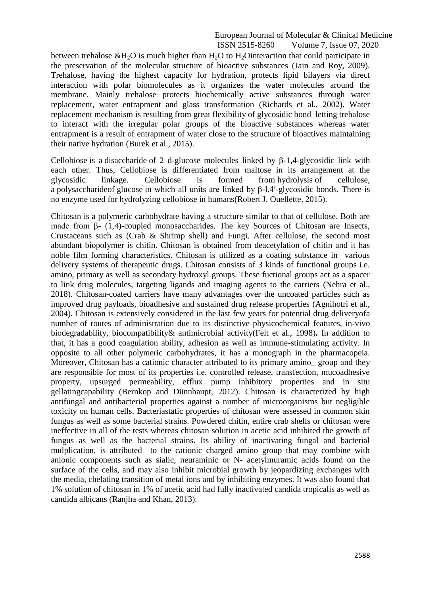between trehalose  $\&$ H<sub>2</sub>O is much higher than H<sub>2</sub>O to H<sub>2</sub>Ointeraction that could participate in the preservation of the molecular structure of bioactive substances (Jain and Roy, 2009). Trehalose, having the highest capacity for hydration, protects lipid bilayers via direct interaction with polar biomolecules as it organizes the water molecules around the membrane. Mainly trehalose protects biochemically active substances through water replacement, water entrapment and glass transformation (Richards et al., 2002). Water replacement mechanism is resulting from great flexibility of glycosidic bond letting trehalose to interact with the irregular polar groups of the bioactive substances whereas water entrapment is a result of entrapment of water close to the structure of bioactives maintaining their native hydration (Burek et al., 2015).

Cellobiose is a disaccharide of 2 d-glucose molecules linked by β-1,4-glycosidic link with each other. Thus, Cellobiose is differentiated from maltose in its arrangement at the glycosidic linkage. Cellobiose is formed from hydrolysis of cellulose, a polysaccharideof glucose in which all units are linked by β-l,4ʹ-glycosidic bonds. There is no enzyme used for hydrolyzing cellobiose in humans(Robert J. Ouellette, 2015).

Chitosan is a polymeric carbohydrate having a structure similar to that of cellulose. Both are made from  $\beta$ - (1,4)-coupled monosaccharides. The key Sources of Chitosan are Insects, Crustaceans such as (Crab & Shrimp shell) and Fungi. After cellulose, the second most abundant biopolymer is chitin. Chitosan is obtained from deacetylation of chitin and it has noble film forming characteristics. Chitosan is utilized as a coating substance in various delivery systems of therapeutic drugs. Chitosan consists of 3 kinds of functional groups i.e. amino, primary as well as secondary hydroxyl groups. These fuctional groups act as a spacer to link drug molecules, targeting ligands and imaging agents to the carriers (Nehra et al., 2018). Chitosan-coated carriers have many advantages over the uncoated particles such as improved drug payloads, bioadhesive and sustained drug release properties (Agnihotri et al., 2004). Chitosan is extensively considered in the last few years for potential drug deliveryofa number of routes of administration due to its distinctive physicochemical features, in-vivo biodegradability, biocompatibility& antimicrobial activity(Felt et al., 1998)**.** In addition to that, it has a good coagulation ability, adhesion as well as immune-stimulating activity. In opposite to all other polymeric carbohydrates, it has a monograph in the pharmacopeia. Moreover, Chitosan has a cationic character attributed to its primary amino group and they are responsible for most of its properties i.e. controlled release, transfection, mucoadhesive property, upsurged permeability, efflux pump inhibitory properties and in situ gellatingcapability (Bernkop and Dünnhaupt, 2012). Chitosan is characterized by high antifungal and antibacterial properties against a number of microorganisms but negligible toxicity on human cells. Bacteriastatic properties of chitosan were assessed in common skin fungus as well as some bacterial strains. Powdered chitin, entire crab shells or chitosan were ineffective in all of the tests whereas chitosan solution in acetic acid inhibited the growth of fungus as well as the bacterial strains. Its ability of inactivating fungal and bacterial mulplication, is attributed to the cationic charged amino group that may combine with anionic components such as sialic, neuraminic or N- acetylmuramic acids found on the surface of the cells, and may also inhibit microbial growth by jeopardizing exchanges with the media, chelating transition of metal ions and by inhibiting enzymes. It was also found that 1% solution of chitosan in 1% of acetic acid had fully inactivated candida tropicalis as well as candida albicans (Ranjha and Khan, 2013).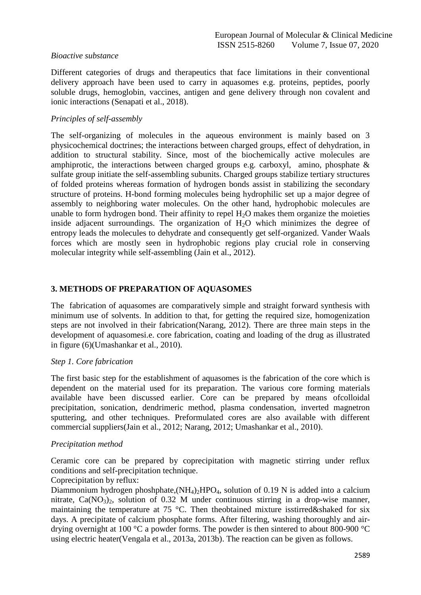# *Bioactive substance*

Different categories of drugs and therapeutics that face limitations in their conventional delivery approach have been used to carry in aquasomes e.g. proteins, peptides, poorly soluble drugs, hemoglobin, vaccines, antigen and gene delivery through non covalent and ionic interactions (Senapati et al., 2018).

# *Principles of self-assembly*

The self-organizing of molecules in the aqueous environment is mainly based on 3 physicochemical doctrines; the interactions between charged groups, effect of dehydration, in addition to structural stability. Since, most of the biochemically active molecules are amphiprotic, the interactions between charged groups e.g. carboxyl, amino, phosphate & sulfate group initiate the self-assembling subunits. Charged groups stabilize tertiary structures of folded proteins whereas formation of hydrogen bonds assist in stabilizing the secondary structure of proteins. H-bond forming molecules being hydrophilic set up a major degree of assembly to neighboring water molecules. On the other hand, hydrophobic molecules are unable to form hydrogen bond. Their affinity to repel  $H_2O$  makes them organize the moieties inside adjacent surroundings. The organization of  $H_2O$  which minimizes the degree of entropy leads the molecules to dehydrate and consequently get self-organized. Vander Waals forces which are mostly seen in hydrophobic regions play crucial role in conserving molecular integrity while self-assembling (Jain et al., 2012).

# **3. METHODS OF PREPARATION OF AQUASOMES**

The fabrication of aquasomes are comparatively simple and straight forward synthesis with minimum use of solvents. In addition to that, for getting the required size, homogenization steps are not involved in their fabrication(Narang, 2012). There are three main steps in the development of aquasomesi.e. core fabrication, coating and loading of the drug as illustrated in figure (6)(Umashankar et al., 2010).

# *Step 1. Core fabrication*

The first basic step for the establishment of aquasomes is the fabrication of the core which is dependent on the material used for its preparation. The various core forming materials available have been discussed earlier. Core can be prepared by means ofcolloidal precipitation, sonication, dendrimeric method, plasma condensation, inverted magnetron sputtering, and other techniques. Preformulated cores are also available with different commercial suppliers(Jain et al., 2012; Narang, 2012; Umashankar et al., 2010).

# *Precipitation method*

Ceramic core can be prepared by coprecipitation with magnetic stirring under reflux conditions and self-precipitation technique.

# Coprecipitation by reflux:

Diammonium hydrogen phoshphate,  $(NH_4)_2HPO_4$ , solution of 0.19 N is added into a calcium nitrate,  $Ca(NO<sub>3</sub>)<sub>2</sub>$ , solution of 0.32 M under continuous stirring in a drop-wise manner, maintaining the temperature at 75 °C. Then theobtained mixture isstirred&shaked for six days. A precipitate of calcium phosphate forms. After filtering, washing thoroughly and airdrying overnight at 100 °C a powder forms. The powder is then sintered to about 800-900 °C using electric heater(Vengala et al., 2013a, 2013b). The reaction can be given as follows.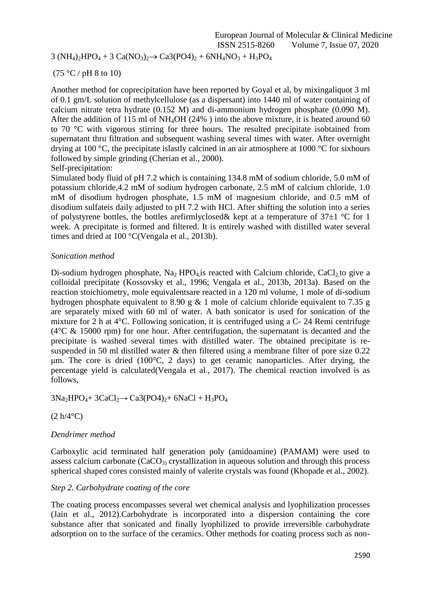# $3 (NH_4)_2HPO_4 + 3 Ca(NO_3)_2 \rightarrow Ca3(PO4)_2 + 6NH_4NO_3 + H_3PO_4$

# $(75 °C / pH 8 to 10)$

Another method for coprecipitation have been reported by Goyal et al, by mixingaliquot 3 ml of 0.1 gm/L solution of methylcellulose (as a dispersant) into 1440 ml of water containing of calcium nitrate tetra hydrate (0.152 M) and di-ammonium hydrogen phosphate (0.090 M). After the addition of 115 ml of NH4OH (24% ) into the above mixture, it is heated around 60 to 70 °C with vigorous stirring for three hours. The resulted precipitate isobtained from supernatant thru filtration and subsequent washing several times with water. After overnight drying at 100 °C, the precipitate islastly calcined in an air atmosphere at 1000 °C for sixhours followed by simple grinding (Cherian et al., 2000). Self-precipitation:

Simulated body fluid of pH 7.2 which is containing 134.8 mM of sodium chloride, 5.0 mM of potassium chloride,4.2 mM of sodium hydrogen carbonate, 2.5 mM of calcium chloride, 1.0 mM of disodium hydrogen phosphate, 1.5 mM of magnesium chloride, and 0.5 mM of disodium sulfateis daily adjusted to pH 7.2 with HCl. After shifting the solution into a series of polystyrene bottles, the bottles arefirmlyclosed & kept at a temperature of  $37\pm1$  °C for 1 week. A precipitate is formed and filtered. It is entirely washed with distilled water several times and dried at 100 °C(Vengala et al., 2013b).

# *Sonication method*

Di-sodium hydrogen phosphate, Na<sub>2</sub> HPO<sub>4</sub> is reacted with Calcium chloride, CaCl<sub>2</sub> to give a colloidal precipitate (Kossovsky et al., 1996; Vengala et al., 2013b, 2013a). Based on the reaction stoichiometry, mole equivalentsare reacted in a 120 ml volume, 1 mole of di-sodium hydrogen phosphate equivalent to 8.90 g & 1 mole of calcium chloride equivalent to 7.35 g are separately mixed with 60 ml of water. A bath sonicator is used for sonication of the mixture for 2 h at 4°C. Following sonication, it is centrifuged using a C- 24 Remi centrifuge ( $4^{\circ}$ C & 15000 rpm) for one hour. After centrifugation, the supernatant is decanted and the precipitate is washed several times with distilled water. The obtained precipitate is resuspended in 50 ml distilled water & then filtered using a membrane filter of pore size 0.22 μm. The core is dried (100°C, 2 days) to get ceramic nanoparticles. After drying, the percentage yield is calculated(Vengala et al., 2017). The chemical reaction involved is as follows,

 $3Na<sub>2</sub>HPO<sub>4</sub>+ 3CaCl<sub>2</sub> \rightarrow Ca3(PO4)<sub>2</sub>+ 6NaCl + H<sub>3</sub>PO<sub>4</sub>$ 

# $(2 h/4$ °C)

# *Dendrimer method*

Carboxylic acid terminated half generation poly (amidoamine) (PAMAM) were used to assess calcium carbonate  $(CaCO_3)$  crystallization in aqueous solution and through this process spherical shaped cores consisted mainly of valerite crystals was found (Khopade et al., 2002).

# *Step 2. Carbohydrate coating of the core*

The coating process encompasses several wet chemical analysis and lyophilization processes (Jain et al., 2012).Carbohydrate is incorporated into a dispersion containing the core substance after that sonicated and finally lyophilized to provide irreversible carbohydrate adsorption on to the surface of the ceramics. Other methods for coating process such as non-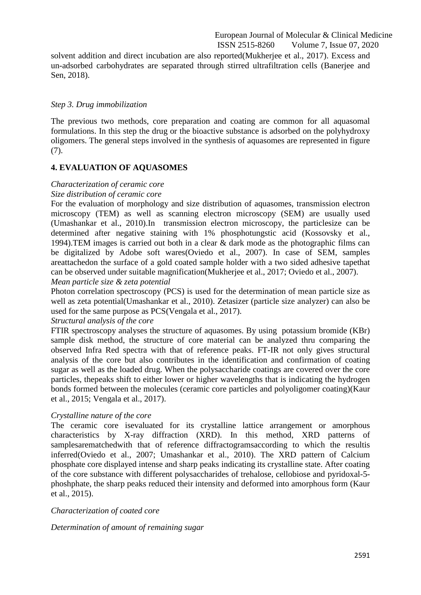solvent addition and direct incubation are also reported(Mukherjee et al., 2017). Excess and un-adsorbed carbohydrates are separated through stirred ultrafiltration cells (Banerjee and Sen, 2018).

#### *Step 3. Drug immobilization*

The previous two methods, core preparation and coating are common for all aquasomal formulations. In this step the drug or the bioactive substance is adsorbed on the polyhydroxy oligomers. The general steps involved in the synthesis of aquasomes are represented in figure (7).

# **4. EVALUATION OF AQUASOMES**

# *Characterization of ceramic core Size distribution of ceramic core*

For the evaluation of morphology and size distribution of aquasomes, transmission electron microscopy (TEM) as well as scanning electron microscopy (SEM) are usually used (Umashankar et al., 2010).In transmission electron microscopy, the particlesize can be determined after negative staining with 1% phosphotungstic acid (Kossovsky et al., 1994).TEM images is carried out both in a clear & dark mode as the photographic films can be digitalized by Adobe soft wares(Oviedo et al., 2007). In case of SEM, samples areattachedon the surface of a gold coated sample holder with a two sided adhesive tapethat can be observed under suitable magnification(Mukherjee et al., 2017; Oviedo et al., 2007). *Mean particle size & zeta potential*

Photon correlation spectroscopy (PCS) is used for the determination of mean particle size as well as zeta potential(Umashankar et al., 2010). Zetasizer (particle size analyzer) can also be used for the same purpose as PCS(Vengala et al., 2017).

#### *Structural analysis of the core*

FTIR spectroscopy analyses the structure of aquasomes. By using potassium bromide (KBr) sample disk method, the structure of core material can be analyzed thru comparing the observed Infra Red spectra with that of reference peaks. FT-IR not only gives structural analysis of the core but also contributes in the identification and confirmation of coating sugar as well as the loaded drug. When the polysaccharide coatings are covered over the core particles, thepeaks shift to either lower or higher wavelengths that is indicating the hydrogen bonds formed between the molecules (ceramic core particles and polyoligomer coating)(Kaur et al., 2015; Vengala et al., 2017).

#### *Crystalline nature of the core*

The ceramic core isevaluated for its crystalline lattice arrangement or amorphous characteristics by X-ray diffraction (XRD). In this method, XRD patterns of samplesarematchedwith that of reference diffractogramsaccording to which the resultis inferred(Oviedo et al., 2007; Umashankar et al., 2010). The XRD pattern of Calcium phosphate core displayed intense and sharp peaks indicating its crystalline state. After coating of the core substance with different polysaccharides of trehalose, cellobiose and pyridoxal-5 phoshphate, the sharp peaks reduced their intensity and deformed into amorphous form (Kaur et al., 2015).

# *Characterization of coated core*

*Determination of amount of remaining sugar*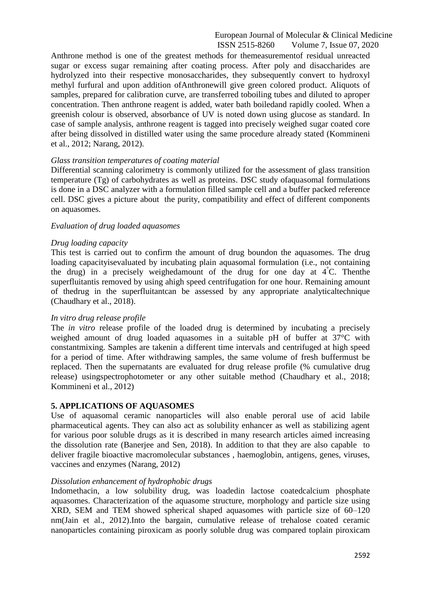Anthrone method is one of the greatest methods for themeasurementof residual unreacted sugar or excess sugar remaining after coating process. After poly and disaccharides are hydrolyzed into their respective monosaccharides, they subsequently convert to hydroxyl methyl furfural and upon addition ofAnthronewill give green colored product. Aliquots of samples, prepared for calibration curve, are transferred toboiling tubes and diluted to aproper concentration. Then anthrone reagent is added, water bath boiledand rapidly cooled. When a greenish colour is observed, absorbance of UV is noted down using glucose as standard. In case of sample analysis, anthrone reagent is tagged into precisely weighed sugar coated core after being dissolved in distilled water using the same procedure already stated (Kommineni et al., 2012; Narang, 2012).

#### *Glass transition temperatures of coating material*

Differential scanning calorimetry is commonly utilized for the assessment of glass transition temperature (Tg) of carbohydrates as well as proteins. DSC study ofaquasomal formulations is done in a DSC analyzer with a formulation filled sample cell and a buffer packed reference cell. DSC gives a picture about the purity, compatibility and effect of different components on aquasomes.

#### *Evaluation of drug loaded aquasomes*

#### *Drug loading capacity*

This test is carried out to confirm the amount of drug boundon the aquasomes. The drug loading capacityisevaluated by incubating plain aquasomal formulation (i.e., not containing the drug) in a precisely weighedamount of the drug for one day at 4**°**C. The[nthe](https://www.powerthesaurus.org/superfluitant/synonyms)  [superfluitanti](https://www.powerthesaurus.org/superfluitant/synonyms)s removed by using ahigh speed centrifugation for one hour. Remaining amount of thedrug in the superfluitantcan be assessed by any appropriate analyticaltechnique (Chaudhary et al., 2018).

#### *In vitro drug release profile*

The *in vitro* release profile of the loaded drug is determined by incubating a precisely weighed amount of drug loaded aquasomes in a suitable pH of buffer at 37°C with constantmixing. Samples are takenin a different time intervals and centrifuged at high speed for a period of time. After withdrawing samples, the same volume of fresh buffermust be replaced. Then the supernatants are evaluated for drug release profile (% cumulative drug release) usingspectrophotometer or any other suitable method (Chaudhary et al., 2018; Kommineni et al., 2012)

# **5. APPLICATIONS OF AQUASOMES**

Use of aquasomal ceramic nanoparticles will also enable peroral use of acid labile pharmaceutical agents. They can also act as solubility enhancer as well as stabilizing agent for various poor soluble drugs as it is described in many research articles aimed increasing the dissolution rate (Banerjee and Sen, 2018). In addition to that they are also capable to deliver fragile bioactive macromolecular substances , haemoglobin, antigens, genes, viruses, vaccines and enzymes (Narang, 2012)

#### *Dissolution enhancement of hydrophobic drugs*

Indomethacin, a low solubility drug, was loadedin lactose coatedcalcium phosphate aquasomes. Characterization of the aquasome structure, morphology and particle size using XRD, SEM and TEM showed spherical shaped aquasomes with particle size of 60–120 nm(Jain et al., 2012).Into the bargain, cumulative release of trehalose coated ceramic nanoparticles containing piroxicam as poorly soluble drug was compared toplain piroxicam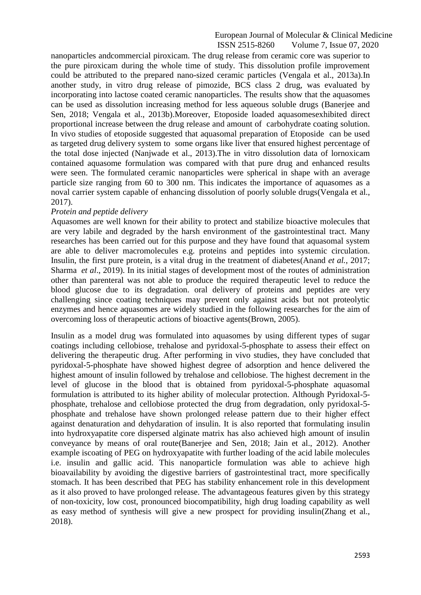nanoparticles andcommercial piroxicam. The drug release from ceramic core was superior to the pure piroxicam during the whole time of study. This dissolution profile improvement could be attributed to the prepared nano-sized ceramic particles (Vengala et al., 2013a).In another study, in vitro drug release of pimozide, BCS class 2 drug, was evaluated by incorporating into lactose coated ceramic nanoparticles. The results show that the aquasomes can be used as dissolution increasing method for less aqueous soluble drugs (Banerjee and Sen, 2018; Vengala et al., 2013b).Moreover, Etoposide loaded aquasomesexhibited direct proportional increase between the drug release and amount of carbohydrate coating solution. In vivo studies of etoposide suggested that aquasomal preparation of Etoposide can be used as targeted drug delivery system to some organs like liver that ensured highest percentage of the total dose injected (Nanjwade et al., 2013).The in vitro dissolution data of lornoxicam contained aquasome formulation was compared with that pure drug and enhanced results were seen. The formulated ceramic nanoparticles were spherical in shape with an average particle size ranging from 60 to 300 nm. This indicates the importance of aquasomes as a noval carrier system capable of enhancing dissolution of poorly soluble drugs(Vengala et al., 2017).

#### *Protein and peptide delivery*

Aquasomes are well known for their ability to protect and stabilize bioactive molecules that are very labile and degraded by the harsh environment of the gastrointestinal tract. Many researches has been carried out for this purpose and they have found that aquasomal system are able to deliver macromolecules e.g. proteins and peptides into systemic circulation. Insulin, the first pure protein, is a vital drug in the treatment of diabetes(Anand *et al.*, 2017; Sharma *et al*., 2019). In its initial stages of development most of the routes of administration other than parenteral was not able to produce the required therapeutic level to reduce the blood glucose due to its degradation. oral delivery of proteins and peptides are very challenging since coating techniques may prevent only against acids but not proteolytic enzymes and hence aquasomes are widely studied in the following researches for the aim of overcoming loss of therapeutic actions of bioactive agents(Brown, 2005).

Insulin as a model drug was formulated into aquasomes by using different types of sugar coatings including cellobiose, trehalose and pyridoxal-5-phosphate to assess their effect on delivering the therapeutic drug. After performing in vivo studies, they have concluded that pyridoxal-5-phosphate have showed highest degree of adsorption and hence delivered the highest amount of insulin followed by trehalose and cellobiose. The highest decrement in the level of glucose in the blood that is obtained from pyridoxal-5-phosphate aquasomal formulation is attributed to its higher ability of molecular protection. Although Pyridoxal-5 phosphate, trehalose and cellobiose protected the drug from degradation, only pyridoxal-5 phosphate and trehalose have shown prolonged release pattern due to their higher effect against denaturation and dehydaration of insulin. It is also reported that formulating insulin into hydroxyapatite core dispersed alginate matrix has also achieved high amount of insulin conveyance by means of oral route(Banerjee and Sen, 2018; Jain et al., 2012). Another example iscoating of PEG on hydroxyapatite with further loading of the acid labile molecules i.e. insulin and gallic acid. This nanoparticle formulation was able to achieve high bioavailability by avoiding the digestive barriers of gastrointestinal tract, more specifically stomach. It has been described that PEG has stability enhancement role in this development as it also proved to have prolonged release. The advantageous features given by this strategy of non-toxicity, low cost, pronounced biocompatibility, high drug loading capability as well as easy method of synthesis will give a new prospect for providing insulin(Zhang et al., 2018).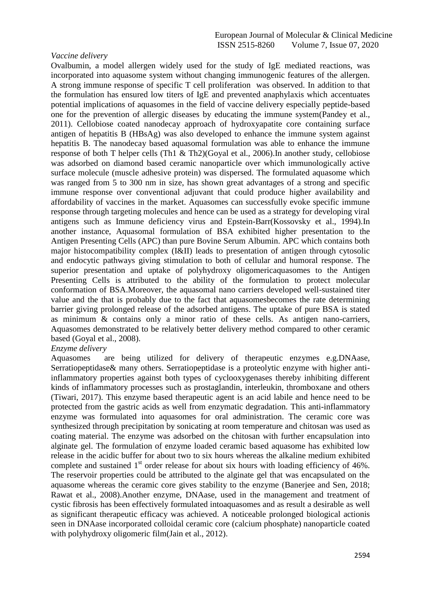#### *Vaccine delivery*

Ovalbumin, a model allergen widely used for the study of IgE mediated reactions, was incorporated into aquasome system without changing immunogenic features of the allergen. A strong immune response of specific T cell proliferation was observed. In addition to that the formulation has ensured low titers of IgE and prevented anaphylaxis which accentuates potential implications of aquasomes in the field of vaccine delivery especially peptide-based one for the prevention of allergic diseases by educating the immune system(Pandey et al., 2011). Cellobiose coated nanodecay approach of hydroxyapatite core containing surface antigen of hepatitis B (HBsAg) was also developed to enhance the immune system against hepatitis B. The nanodecay based aquasomal formulation was able to enhance the immune response of both T helper cells (Th1 & Th2)(Goyal et al., 2006).In another study, cellobiose was adsorbed on diamond based ceramic nanoparticle over which immunologically active surface molecule (muscle adhesive protein) was dispersed. The formulated aquasome which was ranged from 5 to 300 nm in size, has shown great advantages of a strong and specific immune response over conventional adjuvant that could produce higher availability and affordability of vaccines in the market. Aquasomes can successfully evoke specific immune response through targeting molecules and hence can be used as a strategy for developing viral antigens such as Immune deficiency virus and Epstein-Barr(Kossovsky et al., 1994).In another instance, Aquasomal formulation of BSA exhibited higher presentation to the Antigen Presenting Cells (APC) than pure Bovine Serum Albumin. APC which contains both major histocompatibility complex (I&II) leads to presentation of antigen through cytosolic and endocytic pathways giving stimulation to both of cellular and humoral response. The superior presentation and uptake of polyhydroxy oligomericaquasomes to the Antigen Presenting Cells is attributed to the ability of the formulation to protect molecular conformation of BSA.Moreover, the aquasomal nano carriers developed well-sustained titer value and the that is probably due to the fact that aquasomesbecomes the rate determining barrier giving prolonged release of the adsorbed antigens. The uptake of pure BSA is stated as minimum & contains only a minor ratio of these cells. As antigen nano-carriers, Aquasomes demonstrated to be relatively better delivery method compared to other ceramic based (Goyal et al., 2008).

#### *Enzyme delivery*

Aquasomes are being utilized for delivery of therapeutic enzymes e.g.DNAase, Serratiopeptidase& many others. Serratiopeptidase is a proteolytic enzyme with higher antiinflammatory properties against both types of cyclooxygenases thereby inhibiting different kinds of inflammatory processes such as prostaglandin, interleukin, thromboxane and others (Tiwari, 2017). This enzyme based therapeutic agent is an acid labile and hence need to be protected from the gastric acids as well from enzymatic degradation. This anti-inflammatory enzyme was formulated into aquasomes for oral administration. The ceramic core was synthesized through precipitation by sonicating at room temperature and chitosan was used as coating material. The enzyme was adsorbed on the chitosan with further encapsulation into alginate gel. The formulation of enzyme loaded ceramic based aquasome has exhibited low release in the acidic buffer for about two to six hours whereas the alkaline medium exhibited complete and sustained  $1<sup>st</sup>$  order release for about six hours with loading efficiency of 46%. The reservoir properties could be attributed to the alginate gel that was encapsulated on the aquasome whereas the ceramic core gives stability to the enzyme (Banerjee and Sen, 2018; Rawat et al., 2008).Another enzyme, DNAase, used in the management and treatment of cystic fibrosis has been effectively formulated intoaquasomes and as result a desirable as well as significant therapeutic efficacy was achieved. A noticeable prolonged biological actionis seen in DNAase incorporated colloidal ceramic core (calcium phosphate) nanoparticle coated with polyhydroxy oligomeric film(Jain et al., 2012).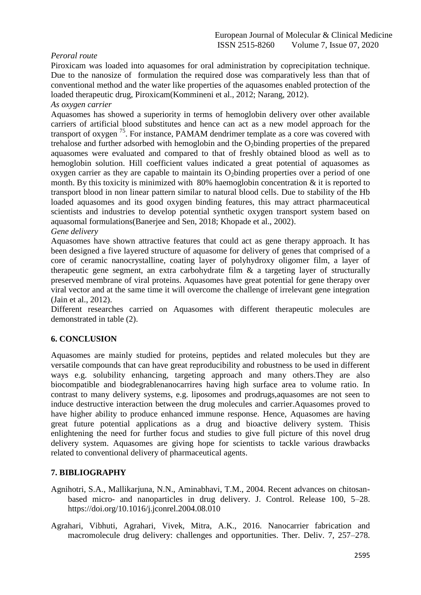# *Peroral route*

Piroxicam was loaded into aquasomes for oral administration by coprecipitation technique. Due to the nanosize of formulation the required dose was comparatively less than that of conventional method and the water like properties of the aquasomes enabled protection of the loaded therapeutic drug, Piroxicam(Kommineni et al., 2012; Narang, 2012).

# *As oxygen carrier*

Aquasomes has showed a superiority in terms of hemoglobin delivery over other available carriers of artificial blood substitutes and hence can act as a new model approach for the transport of oxygen  $^{75}$ . For instance, PAMAM dendrimer template as a core was covered with trehalose and further adsorbed with hemoglobin and the O<sub>2</sub>binding properties of the prepared aquasomes were evaluated and compared to that of freshly obtained blood as well as to hemoglobin solution. Hill coefficient values indicated a great potential of aquasomes as oxygen carrier as they are capable to maintain its  $O_2$ binding properties over a period of one month. By this toxicity is minimized with 80% haemoglobin concentration & it is reported to transport blood in non linear pattern similar to natural blood cells. Due to stability of the Hb loaded aquasomes and its good oxygen binding features, this may attract pharmaceutical scientists and industries to develop potential synthetic oxygen transport system based on aquasomal formulations(Banerjee and Sen, 2018; Khopade et al., 2002).

#### *Gene delivery*

Aquasomes have shown attractive features that could act as gene therapy approach. It has been designed a five layered structure of aquasome for delivery of genes that comprised of a core of ceramic nanocrystalline, coating layer of polyhydroxy oligomer film, a layer of therapeutic gene segment, an extra carbohydrate film & a targeting layer of structurally preserved membrane of viral proteins. Aquasomes have great potential for gene therapy over viral vector and at the same time it will overcome the challenge of irrelevant gene integration (Jain et al., 2012).

Different researches carried on Aquasomes with different therapeutic molecules are demonstrated in table (2).

# **6. CONCLUSION**

Aquasomes are mainly studied for proteins, peptides and related molecules but they are versatile compounds that can have great reproducibility and robustness to be used in different ways e.g. solubility enhancing, targeting approach and many others.They are also biocompatible and biodegrablenanocarrires having high surface area to volume ratio. In contrast to many delivery systems, e.g. liposomes and prodrugs,aquasomes are not seen to induce destructive interaction between the drug molecules and carrier.Aquasomes proved to have higher ability to produce enhanced immune response. Hence, Aquasomes are having great future potential applications as a drug and bioactive delivery system. Thisis enlightening the need for further focus and studies to give full picture of this novel drug delivery system. Aquasomes are giving hope for scientists to tackle various drawbacks related to conventional delivery of pharmaceutical agents.

# **7. BIBLIOGRAPHY**

- Agnihotri, S.A., Mallikarjuna, N.N., Aminabhavi, T.M., 2004. Recent advances on chitosanbased micro- and nanoparticles in drug delivery. J. Control. Release 100, 5–28. https://doi.org/10.1016/j.jconrel.2004.08.010
- Agrahari, Vibhuti, Agrahari, Vivek, Mitra, A.K., 2016. Nanocarrier fabrication and macromolecule drug delivery: challenges and opportunities. Ther. Deliv. 7, 257–278.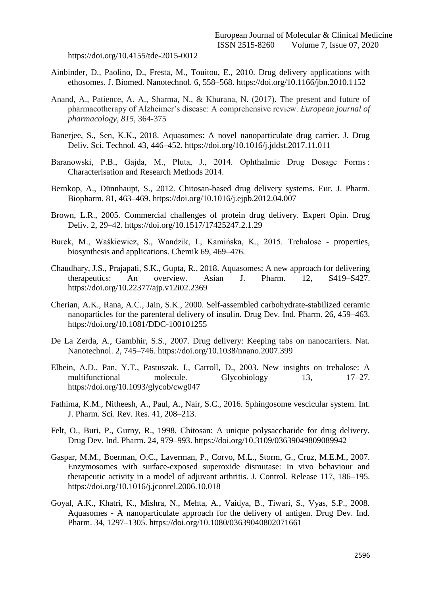https://doi.org/10.4155/tde-2015-0012

- Ainbinder, D., Paolino, D., Fresta, M., Touitou, E., 2010. Drug delivery applications with ethosomes. J. Biomed. Nanotechnol. 6, 558–568. https://doi.org/10.1166/jbn.2010.1152
- Anand, A., Patience, A. A., Sharma, N., & Khurana, N. (2017). The present and future of pharmacotherapy of Alzheimer's disease: A comprehensive review. *European journal of pharmacology*, *815*, 364-375
- Banerjee, S., Sen, K.K., 2018. Aquasomes: A novel nanoparticulate drug carrier. J. Drug Deliv. Sci. Technol. 43, 446–452. https://doi.org/10.1016/j.jddst.2017.11.011
- Baranowski, P.B., Gajda, M., Pluta, J., 2014. Ophthalmic Drug Dosage Forms : Characterisation and Research Methods 2014.
- Bernkop, A., Dünnhaupt, S., 2012. Chitosan-based drug delivery systems. Eur. J. Pharm. Biopharm. 81, 463–469. https://doi.org/10.1016/j.ejpb.2012.04.007
- Brown, L.R., 2005. Commercial challenges of protein drug delivery. Expert Opin. Drug Deliv. 2, 29–42. https://doi.org/10.1517/17425247.2.1.29
- Burek, M., Waśkiewicz, S., Wandzik, I., Kamińska, K., 2015. Trehalose properties, biosynthesis and applications. Chemik 69, 469–476.
- Chaudhary, J.S., Prajapati, S.K., Gupta, R., 2018. Aquasomes; A new approach for delivering therapeutics: An overview. Asian J. Pharm. 12, S419–S427. https://doi.org/10.22377/ajp.v12i02.2369
- Cherian, A.K., Rana, A.C., Jain, S.K., 2000. Self-assembled carbohydrate-stabilized ceramic nanoparticles for the parenteral delivery of insulin. Drug Dev. Ind. Pharm. 26, 459–463. https://doi.org/10.1081/DDC-100101255
- De La Zerda, A., Gambhir, S.S., 2007. Drug delivery: Keeping tabs on nanocarriers. Nat. Nanotechnol. 2, 745–746. https://doi.org/10.1038/nnano.2007.399
- Elbein, A.D., Pan, Y.T., Pastuszak, I., Carroll, D., 2003. New insights on trehalose: A multifunctional molecule. Glycobiology 13, 17–27. https://doi.org/10.1093/glycob/cwg047
- Fathima, K.M., Nitheesh, A., Paul, A., Nair, S.C., 2016. Sphingosome vescicular system. Int. J. Pharm. Sci. Rev. Res. 41, 208–213.
- Felt, O., Buri, P., Gurny, R., 1998. Chitosan: A unique polysaccharide for drug delivery. Drug Dev. Ind. Pharm. 24, 979–993. https://doi.org/10.3109/03639049809089942
- Gaspar, M.M., Boerman, O.C., Laverman, P., Corvo, M.L., Storm, G., Cruz, M.E.M., 2007. Enzymosomes with surface-exposed superoxide dismutase: In vivo behaviour and therapeutic activity in a model of adjuvant arthritis. J. Control. Release 117, 186–195. https://doi.org/10.1016/j.jconrel.2006.10.018
- Goyal, A.K., Khatri, K., Mishra, N., Mehta, A., Vaidya, B., Tiwari, S., Vyas, S.P., 2008. Aquasomes - A nanoparticulate approach for the delivery of antigen. Drug Dev. Ind. Pharm. 34, 1297–1305. https://doi.org/10.1080/03639040802071661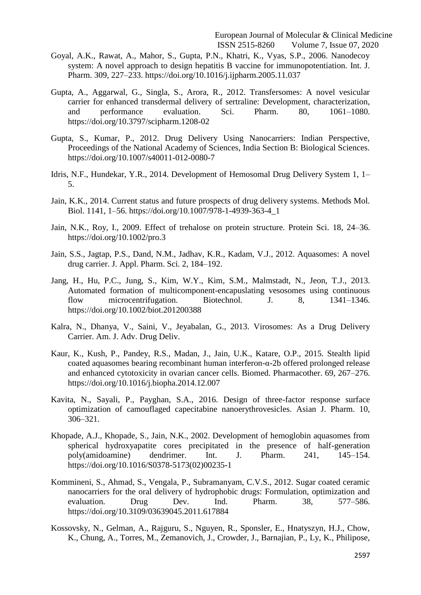- Goyal, A.K., Rawat, A., Mahor, S., Gupta, P.N., Khatri, K., Vyas, S.P., 2006. Nanodecoy system: A novel approach to design hepatitis B vaccine for immunopotentiation. Int. J. Pharm. 309, 227–233. https://doi.org/10.1016/j.ijpharm.2005.11.037
- Gupta, A., Aggarwal, G., Singla, S., Arora, R., 2012. Transfersomes: A novel vesicular carrier for enhanced transdermal delivery of sertraline: Development, characterization, and performance evaluation. Sci. Pharm. 80, 1061–1080. https://doi.org/10.3797/scipharm.1208-02
- Gupta, S., Kumar, P., 2012. Drug Delivery Using Nanocarriers: Indian Perspective, Proceedings of the National Academy of Sciences, India Section B: Biological Sciences. https://doi.org/10.1007/s40011-012-0080-7
- Idris, N.F., Hundekar, Y.R., 2014. Development of Hemosomal Drug Delivery System 1, 1– 5.
- Jain, K.K., 2014. Current status and future prospects of drug delivery systems. Methods Mol. Biol. 1141, 1–56. https://doi.org/10.1007/978-1-4939-363-4\_1
- Jain, N.K., Roy, I., 2009. Effect of trehalose on protein structure. Protein Sci. 18, 24–36. https://doi.org/10.1002/pro.3
- Jain, S.S., Jagtap, P.S., Dand, N.M., Jadhav, K.R., Kadam, V.J., 2012. Aquasomes: A novel drug carrier. J. Appl. Pharm. Sci. 2, 184–192.
- Jang, H., Hu, P.C., Jung, S., Kim, W.Y., Kim, S.M., Malmstadt, N., Jeon, T.J., 2013. Automated formation of multicomponent-encapuslating vesosomes using continuous flow microcentrifugation. Biotechnol. J. 8, 1341–1346. https://doi.org/10.1002/biot.201200388
- Kalra, N., Dhanya, V., Saini, V., Jeyabalan, G., 2013. Virosomes: As a Drug Delivery Carrier. Am. J. Adv. Drug Deliv.
- Kaur, K., Kush, P., Pandey, R.S., Madan, J., Jain, U.K., Katare, O.P., 2015. Stealth lipid coated aquasomes bearing recombinant human interferon-α-2b offered prolonged release and enhanced cytotoxicity in ovarian cancer cells. Biomed. Pharmacother. 69, 267–276. https://doi.org/10.1016/j.biopha.2014.12.007
- Kavita, N., Sayali, P., Payghan, S.A., 2016. Design of three-factor response surface optimization of camouflaged capecitabine nanoerythrovesicles. Asian J. Pharm. 10, 306–321.
- Khopade, A.J., Khopade, S., Jain, N.K., 2002. Development of hemoglobin aquasomes from spherical hydroxyapatite cores precipitated in the presence of half-generation poly(amidoamine) dendrimer. Int. J. Pharm. 241, 145–154. https://doi.org/10.1016/S0378-5173(02)00235-1
- Kommineni, S., Ahmad, S., Vengala, P., Subramanyam, C.V.S., 2012. Sugar coated ceramic nanocarriers for the oral delivery of hydrophobic drugs: Formulation, optimization and evaluation. Drug Dev. Ind. Pharm. 38, 577–586. https://doi.org/10.3109/03639045.2011.617884
- Kossovsky, N., Gelman, A., Rajguru, S., Nguyen, R., Sponsler, E., Hnatyszyn, H.J., Chow, K., Chung, A., Torres, M., Zemanovich, J., Crowder, J., Barnajian, P., Ly, K., Philipose,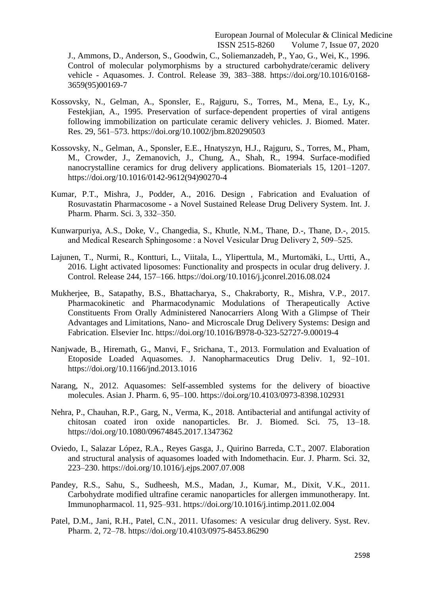J., Ammons, D., Anderson, S., Goodwin, C., Soliemanzadeh, P., Yao, G., Wei, K., 1996. Control of molecular polymorphisms by a structured carbohydrate/ceramic delivery vehicle - Aquasomes. J. Control. Release 39, 383–388. https://doi.org/10.1016/0168- 3659(95)00169-7

- Kossovsky, N., Gelman, A., Sponsler, E., Rajguru, S., Torres, M., Mena, E., Ly, K., Festekjian, A., 1995. Preservation of surface-dependent properties of viral antigens following immobilization on particulate ceramic delivery vehicles. J. Biomed. Mater. Res. 29, 561–573. https://doi.org/10.1002/jbm.820290503
- Kossovsky, N., Gelman, A., Sponsler, E.E., Hnatyszyn, H.J., Rajguru, S., Torres, M., Pham, M., Crowder, J., Zemanovich, J., Chung, A., Shah, R., 1994. Surface-modified nanocrystalline ceramics for drug delivery applications. Biomaterials 15, 1201–1207. https://doi.org/10.1016/0142-9612(94)90270-4
- Kumar, P.T., Mishra, J., Podder, A., 2016. Design , Fabrication and Evaluation of Rosuvastatin Pharmacosome - a Novel Sustained Release Drug Delivery System. Int. J. Pharm. Pharm. Sci. 3, 332–350.
- Kunwarpuriya, A.S., Doke, V., Changedia, S., Khutle, N.M., Thane, D.-, Thane, D.-, 2015. and Medical Research Sphingosome : a Novel Vesicular Drug Delivery 2, 509–525.
- Lajunen, T., Nurmi, R., Kontturi, L., Viitala, L., Yliperttula, M., Murtomäki, L., Urtti, A., 2016. Light activated liposomes: Functionality and prospects in ocular drug delivery. J. Control. Release 244, 157–166. https://doi.org/10.1016/j.jconrel.2016.08.024
- Mukherjee, B., Satapathy, B.S., Bhattacharya, S., Chakraborty, R., Mishra, V.P., 2017. Pharmacokinetic and Pharmacodynamic Modulations of Therapeutically Active Constituents From Orally Administered Nanocarriers Along With a Glimpse of Their Advantages and Limitations, Nano- and Microscale Drug Delivery Systems: Design and Fabrication. Elsevier Inc. https://doi.org/10.1016/B978-0-323-52727-9.00019-4
- Nanjwade, B., Hiremath, G., Manvi, F., Srichana, T., 2013. Formulation and Evaluation of Etoposide Loaded Aquasomes. J. Nanopharmaceutics Drug Deliv. 1, 92–101. https://doi.org/10.1166/jnd.2013.1016
- Narang, N., 2012. Aquasomes: Self-assembled systems for the delivery of bioactive molecules. Asian J. Pharm. 6, 95–100. https://doi.org/10.4103/0973-8398.102931
- Nehra, P., Chauhan, R.P., Garg, N., Verma, K., 2018. Antibacterial and antifungal activity of chitosan coated iron oxide nanoparticles. Br. J. Biomed. Sci. 75, 13–18. https://doi.org/10.1080/09674845.2017.1347362
- Oviedo, I., Salazar López, R.A., Reyes Gasga, J., Quirino Barreda, C.T., 2007. Elaboration and structural analysis of aquasomes loaded with Indomethacin. Eur. J. Pharm. Sci. 32, 223–230. https://doi.org/10.1016/j.ejps.2007.07.008
- Pandey, R.S., Sahu, S., Sudheesh, M.S., Madan, J., Kumar, M., Dixit, V.K., 2011. Carbohydrate modified ultrafine ceramic nanoparticles for allergen immunotherapy. Int. Immunopharmacol. 11, 925–931. https://doi.org/10.1016/j.intimp.2011.02.004
- Patel, D.M., Jani, R.H., Patel, C.N., 2011. Ufasomes: A vesicular drug delivery. Syst. Rev. Pharm. 2, 72–78. https://doi.org/10.4103/0975-8453.86290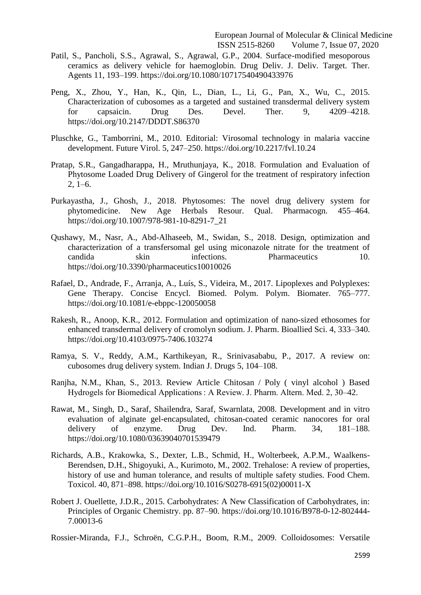- Patil, S., Pancholi, S.S., Agrawal, S., Agrawal, G.P., 2004. Surface-modified mesoporous ceramics as delivery vehicle for haemoglobin. Drug Deliv. J. Deliv. Target. Ther. Agents 11, 193–199. https://doi.org/10.1080/10717540490433976
- Peng, X., Zhou, Y., Han, K., Qin, L., Dian, L., Li, G., Pan, X., Wu, C., 2015. Characterization of cubosomes as a targeted and sustained transdermal delivery system for capsaicin. Drug Des. Devel. Ther. 9, 4209–4218. https://doi.org/10.2147/DDDT.S86370
- Pluschke, G., Tamborrini, M., 2010. Editorial: Virosomal technology in malaria vaccine development. Future Virol. 5, 247–250. https://doi.org/10.2217/fvl.10.24
- Pratap, S.R., Gangadharappa, H., Mruthunjaya, K., 2018. Formulation and Evaluation of Phytosome Loaded Drug Delivery of Gingerol for the treatment of respiratory infection  $2, 1-6.$
- Purkayastha, J., Ghosh, J., 2018. Phytosomes: The novel drug delivery system for phytomedicine. New Age Herbals Resour. Qual. Pharmacogn. 455–464. https://doi.org/10.1007/978-981-10-8291-7\_21
- Qushawy, M., Nasr, A., Abd-Alhaseeb, M., Swidan, S., 2018. Design, optimization and characterization of a transfersomal gel using miconazole nitrate for the treatment of candida skin infections. Pharmaceutics 10. https://doi.org/10.3390/pharmaceutics10010026
- Rafael, D., Andrade, F., Arranja, A., Luís, S., Videira, M., 2017. Lipoplexes and Polyplexes: Gene Therapy. Concise Encycl. Biomed. Polym. Polym. Biomater. 765–777. https://doi.org/10.1081/e-ebppc-120050058
- Rakesh, R., Anoop, K.R., 2012. Formulation and optimization of nano-sized ethosomes for enhanced transdermal delivery of cromolyn sodium. J. Pharm. Bioallied Sci. 4, 333–340. https://doi.org/10.4103/0975-7406.103274
- Ramya, S. V., Reddy, A.M., Karthikeyan, R., Srinivasababu, P., 2017. A review on: cubosomes drug delivery system. Indian J. Drugs 5, 104–108.
- Ranjha, N.M., Khan, S., 2013. Review Article Chitosan / Poly ( vinyl alcohol ) Based Hydrogels for Biomedical Applications : A Review. J. Pharm. Altern. Med. 2, 30–42.
- Rawat, M., Singh, D., Saraf, Shailendra, Saraf, Swarnlata, 2008. Development and in vitro evaluation of alginate gel-encapsulated, chitosan-coated ceramic nanocores for oral delivery of enzyme. Drug Dev. Ind. Pharm. 34, 181–188. https://doi.org/10.1080/03639040701539479
- Richards, A.B., Krakowka, S., Dexter, L.B., Schmid, H., Wolterbeek, A.P.M., Waalkens-Berendsen, D.H., Shigoyuki, A., Kurimoto, M., 2002. Trehalose: A review of properties, history of use and human tolerance, and results of multiple safety studies. Food Chem. Toxicol. 40, 871–898. https://doi.org/10.1016/S0278-6915(02)00011-X
- Robert J. Ouellette, J.D.R., 2015. Carbohydrates: A New Classification of Carbohydrates, in: Principles of Organic Chemistry. pp. 87–90. https://doi.org/10.1016/B978-0-12-802444- 7.00013-6

Rossier-Miranda, F.J., Schroën, C.G.P.H., Boom, R.M., 2009. Colloidosomes: Versatile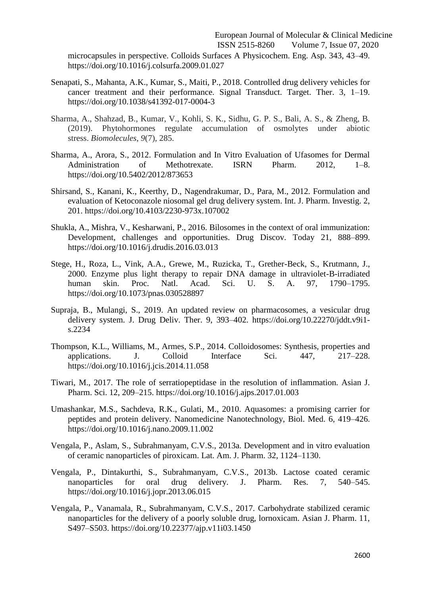microcapsules in perspective. Colloids Surfaces A Physicochem. Eng. Asp. 343, 43–49. https://doi.org/10.1016/j.colsurfa.2009.01.027

- Senapati, S., Mahanta, A.K., Kumar, S., Maiti, P., 2018. Controlled drug delivery vehicles for cancer treatment and their performance. Signal Transduct. Target. Ther. 3, 1–19. https://doi.org/10.1038/s41392-017-0004-3
- Sharma, A., Shahzad, B., Kumar, V., Kohli, S. K., Sidhu, G. P. S., Bali, A. S., & Zheng, B. (2019). Phytohormones regulate accumulation of osmolytes under abiotic stress. *Biomolecules*, *9*(7), 285.
- Sharma, A., Arora, S., 2012. Formulation and In Vitro Evaluation of Ufasomes for Dermal Administration of Methotrexate. ISRN Pharm. 2012, 1–8. https://doi.org/10.5402/2012/873653
- Shirsand, S., Kanani, K., Keerthy, D., Nagendrakumar, D., Para, M., 2012. Formulation and evaluation of Ketoconazole niosomal gel drug delivery system. Int. J. Pharm. Investig. 2, 201. https://doi.org/10.4103/2230-973x.107002
- Shukla, A., Mishra, V., Kesharwani, P., 2016. Bilosomes in the context of oral immunization: Development, challenges and opportunities. Drug Discov. Today 21, 888–899. https://doi.org/10.1016/j.drudis.2016.03.013
- Stege, H., Roza, L., Vink, A.A., Grewe, M., Ruzicka, T., Grether-Beck, S., Krutmann, J., 2000. Enzyme plus light therapy to repair DNA damage in ultraviolet-B-irradiated human skin. Proc. Natl. Acad. Sci. U. S. A. 97, 1790–1795. https://doi.org/10.1073/pnas.030528897
- Supraja, B., Mulangi, S., 2019. An updated review on pharmacosomes, a vesicular drug delivery system. J. Drug Deliv. Ther. 9, 393–402. https://doi.org/10.22270/jddt.v9i1 s.2234
- Thompson, K.L., Williams, M., Armes, S.P., 2014. Colloidosomes: Synthesis, properties and applications. J. Colloid Interface Sci. 447, 217–228. https://doi.org/10.1016/j.jcis.2014.11.058
- Tiwari, M., 2017. The role of serratiopeptidase in the resolution of inflammation. Asian J. Pharm. Sci. 12, 209–215. https://doi.org/10.1016/j.ajps.2017.01.003
- Umashankar, M.S., Sachdeva, R.K., Gulati, M., 2010. Aquasomes: a promising carrier for peptides and protein delivery. Nanomedicine Nanotechnology, Biol. Med. 6, 419–426. https://doi.org/10.1016/j.nano.2009.11.002
- Vengala, P., Aslam, S., Subrahmanyam, C.V.S., 2013a. Development and in vitro evaluation of ceramic nanoparticles of piroxicam. Lat. Am. J. Pharm. 32, 1124–1130.
- Vengala, P., Dintakurthi, S., Subrahmanyam, C.V.S., 2013b. Lactose coated ceramic nanoparticles for oral drug delivery. J. Pharm. Res. 7, 540–545. https://doi.org/10.1016/j.jopr.2013.06.015
- Vengala, P., Vanamala, R., Subrahmanyam, C.V.S., 2017. Carbohydrate stabilized ceramic nanoparticles for the delivery of a poorly soluble drug, lornoxicam. Asian J. Pharm. 11, S497–S503. https://doi.org/10.22377/ajp.v11i03.1450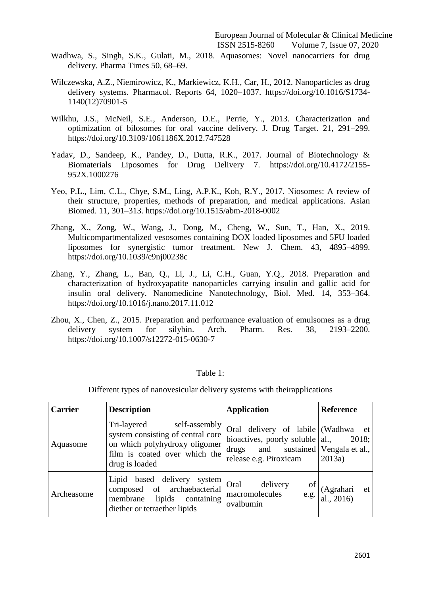- Wadhwa, S., Singh, S.K., Gulati, M., 2018. Aquasomes: Novel nanocarriers for drug delivery. Pharma Times 50, 68–69.
- Wilczewska, A.Z., Niemirowicz, K., Markiewicz, K.H., Car, H., 2012. Nanoparticles as drug delivery systems. Pharmacol. Reports 64, 1020–1037. https://doi.org/10.1016/S1734- 1140(12)70901-5
- Wilkhu, J.S., McNeil, S.E., Anderson, D.E., Perrie, Y., 2013. Characterization and optimization of bilosomes for oral vaccine delivery. J. Drug Target. 21, 291–299. https://doi.org/10.3109/1061186X.2012.747528
- Yadav, D., Sandeep, K., Pandey, D., Dutta, R.K., 2017. Journal of Biotechnology & Biomaterials Liposomes for Drug Delivery 7. https://doi.org/10.4172/2155- 952X.1000276
- Yeo, P.L., Lim, C.L., Chye, S.M., Ling, A.P.K., Koh, R.Y., 2017. Niosomes: A review of their structure, properties, methods of preparation, and medical applications. Asian Biomed. 11, 301–313. https://doi.org/10.1515/abm-2018-0002
- Zhang, X., Zong, W., Wang, J., Dong, M., Cheng, W., Sun, T., Han, X., 2019. Multicompartmentalized vesosomes containing DOX loaded liposomes and 5FU loaded liposomes for synergistic tumor treatment. New J. Chem. 43, 4895–4899. https://doi.org/10.1039/c9nj00238c
- Zhang, Y., Zhang, L., Ban, Q., Li, J., Li, C.H., Guan, Y.Q., 2018. Preparation and characterization of hydroxyapatite nanoparticles carrying insulin and gallic acid for insulin oral delivery. Nanomedicine Nanotechnology, Biol. Med. 14, 353–364. https://doi.org/10.1016/j.nano.2017.11.012
- Zhou, X., Chen, Z., 2015. Preparation and performance evaluation of emulsomes as a drug delivery system for silybin. Arch. Pharm. Res. 38, 2193–2200. https://doi.org/10.1007/s12272-015-0630-7

# Table 1:

| <b>Carrier</b> | <b>Description</b>                                                                                                                                    | <b>Application</b>                                                                                                                         | <b>Reference</b>               |
|----------------|-------------------------------------------------------------------------------------------------------------------------------------------------------|--------------------------------------------------------------------------------------------------------------------------------------------|--------------------------------|
| Aquasome       | Tri-layered<br>self-assembly<br>system consisting of central core<br>on which polyhydroxy oligomer<br>film is coated over which the<br>drug is loaded | Oral delivery of labile (Wadhwa et<br>bioactives, poorly soluble $ $ al.,<br>drugs and sustained Vengala et al.,<br>release e.g. Piroxicam | 2018;<br>2013a)                |
| Archeasome     | Lipid based delivery system<br>composed of archaebacterial<br>lipids containing<br>membrane<br>diether or tetraether lipids                           | Oral<br>delivery<br>οf<br>macromolecules<br>e.g.<br>ovalbumin                                                                              | et<br>(Agrahari<br>al., $2016$ |

Different types of nanovesicular delivery systems with theirapplications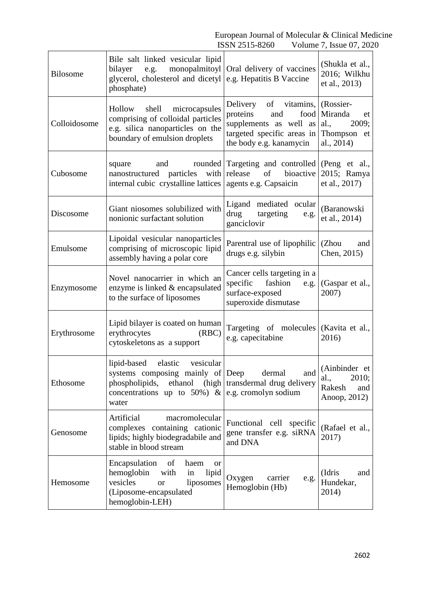| <b>Bilosome</b> | Bile salt linked vesicular lipid<br>monopalmitoyl<br>bilayer<br>e.g.<br>glycerol, cholesterol and dicetyl<br>phosphate)                                                                        | Oral delivery of vaccines<br>e.g. Hepatitis B Vaccine                                                                                         | (Shukla et al.,<br>2016; Wilkhu<br>et al., 2013)                |
|-----------------|------------------------------------------------------------------------------------------------------------------------------------------------------------------------------------------------|-----------------------------------------------------------------------------------------------------------------------------------------------|-----------------------------------------------------------------|
| Colloidosome    | Hollow shell microcapsules<br>comprising of colloidal particles<br>e.g. silica nanoparticles on the<br>boundary of emulsion droplets                                                           | Delivery of vitamins, (Rossier-<br>food<br>proteins<br>and<br>supplements as well as<br>targeted specific areas in<br>the body e.g. kanamycin | Miranda<br>et<br>al.,<br>2009;<br>Thompson et<br>al., 2014)     |
| Cubosome        | and<br>rounded<br>square<br>nanostructured particles with<br>internal cubic crystalline lattices                                                                                               | Targeting and controlled (Peng et al.,<br>release<br>of<br>bioactive<br>agents e.g. Capsaicin                                                 | 2015; Ramya<br>et al., 2017)                                    |
| Discosome       | Giant niosomes solubilized with<br>nonionic surfactant solution                                                                                                                                | Ligand mediated ocular<br>drug<br>targeting<br>e.g.<br>ganciclovir                                                                            | (Baranowski<br>et al., 2014)                                    |
| Emulsome        | Lipoidal vesicular nanoparticles<br>comprising of microscopic lipid<br>assembly having a polar core                                                                                            | Parentral use of lipophilic<br>drugs e.g. silybin                                                                                             | (Zhou<br>and<br>Chen, 2015)                                     |
| Enzymosome      | Novel nanocarrier in which an<br>enzyme is linked & encapsulated<br>to the surface of liposomes                                                                                                | Cancer cells targeting in a<br>specific fashion e.g.<br>surface-exposed<br>superoxide dismutase                                               | (Gaspar et al.,<br>2007)                                        |
| Erythrosome     | Lipid bilayer is coated on human<br>erythrocytes<br>(RBC)<br>cytoskeletons as a support                                                                                                        | Targeting of molecules (Kavita et al.,<br>e.g. capecitabine                                                                                   | 2016)                                                           |
| Ethosome        | lipid-based<br>elastic<br>vesicular<br>systems composing mainly of Deep<br>phospholipids, ethanol (high transdermal drug delivery<br>concentrations up to 50%) & e.g. cromolyn sodium<br>water | dermal<br>and                                                                                                                                 | (Ainbinder et<br>2010;<br>al.,<br>Rakesh<br>and<br>Anoop, 2012) |
| Genosome        | Artificial<br>macromolecular<br>complexes containing cationic<br>lipids; highly biodegradabile and<br>stable in blood stream                                                                   | Functional cell specific<br>gene transfer e.g. siRNA<br>and DNA                                                                               | (Rafael et al.,<br>2017)                                        |
| Hemosome        | Encapsulation of<br>haem<br><b>or</b><br>hemoglobin with<br>lipid<br>in<br>vesicles<br>liposomes<br><b>or</b><br>(Liposome-encapsulated<br>hemoglobin-LEH)                                     | Oxygen<br>carrier<br>e.g.<br>Hemoglobin (Hb)                                                                                                  | (Idris<br>and<br>Hundekar,<br>2014)                             |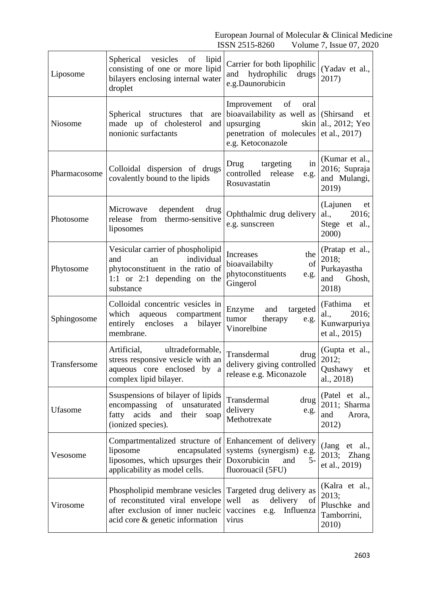| Liposome     | lipid<br>Spherical vesicles<br>$\sigma$<br>consisting of one or more lipid<br>bilayers enclosing internal water<br>droplet                             | Carrier for both lipophilic<br>hydrophilic<br>drugs<br>and<br>e.g.Daunorubicin                                             | (Yadav et al.,<br>2017)                                           |
|--------------|--------------------------------------------------------------------------------------------------------------------------------------------------------|----------------------------------------------------------------------------------------------------------------------------|-------------------------------------------------------------------|
| Niosome      | Spherical structures that<br>are<br>made up of cholesterol<br>and<br>nonionic surfactants                                                              | Improvement of<br>oral<br>bioavailability as well as<br>upsurging<br>skin<br>penetration of molecules<br>e.g. Ketoconazole | (Shirsand)<br>et<br>al., 2012; Yeo<br>et al., 2017)               |
| Pharmacosome | Colloidal dispersion of drugs<br>covalently bound to the lipids                                                                                        | Drug<br>targeting<br>in<br>controlled release<br>e.g.<br>Rosuvastatin                                                      | (Kumar et al.,<br>2016; Supraja<br>and Mulangi,<br>2019)          |
| Photosome    | Microwave<br>dependent<br>drug<br>release from thermo-sensitive<br>liposomes                                                                           | Ophthalmic drug delivery<br>e.g. sunscreen                                                                                 | (Lajunen<br>et<br>al.,<br>2016;<br>Stege et al.,<br>2000)         |
| Phytosome    | Vesicular carrier of phospholipid<br>individual<br>and<br>an<br>phytoconstituent in the ratio of<br>1:1 or 2:1 depending on the<br>substance           | the<br><b>Increases</b><br>of<br>bioavailabilty<br>phytoconstituents<br>e.g.<br>Gingerol                                   | (Pratap et al.,<br>2018;<br>Purkayastha<br>Ghosh,<br>and<br>2018) |
| Sphingosome  | Colloidal concentric vesicles in<br>which<br>aqueous compartment<br>entirely<br>encloses<br>bilayer<br>$\mathbf{a}$<br>membrane.                       | and targeted<br>Enzyme<br>tumor<br>therapy<br>e.g.<br>Vinorelbine                                                          | (Fathima)<br>et<br>2016;<br>al.,<br>Kunwarpuriya<br>et al., 2015) |
| Transfersome | Artificial, ultradeformable,<br>stress responsive vesicle with an<br>aqueous core enclosed by a<br>complex lipid bilayer.                              | Transdermal<br>drug<br>delivery giving controlled<br>release e.g. Miconazole                                               | (Gupta et al.,<br>2012;<br>Qushawy et<br>al., 2018)               |
| Ufasome      | Ssuspensions of bilayer of lipids<br>encompassing<br>of<br>unsaturated<br>fatty acids<br>and<br>their<br>soap<br>(ionized species).                    | Transdermal<br>drug<br>delivery<br>e.g.<br>Methotrexate                                                                    | (Patel et al.,<br>2011; Sharma<br>and<br>Arora,<br>2012)          |
| Vesosome     | Compartmentalized structure of Enhancement of delivery<br>liposome<br>encapsulated<br>liposomes, which upsurges their<br>applicability as model cells. | systems (synergism) e.g.<br>Doxorubicin<br>$5-$<br>and<br>fluorouacil (5FU)                                                | (Jang et al.,<br>2013;<br><b>Zhang</b><br>et al., 2019)           |
| Virosome     | Phospholipid membrane vesicles<br>of reconstituted viral envelope<br>after exclusion of inner nucleic<br>acid core & genetic information               | Targeted drug delivery as<br>delivery of<br>well<br>as<br>vaccines e.g.<br>Influenza<br>virus                              | (Kalra et al.,<br>2013;<br>Pluschke and<br>Tamborrini,<br>2010)   |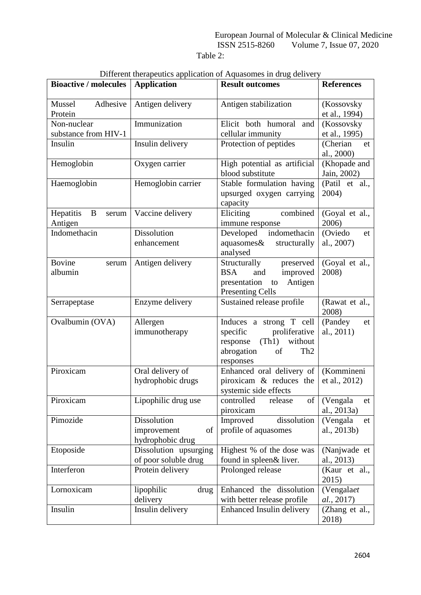Table 2:

|                               |                       | Different inerapeutics application of Aquasomes in artig defivery |                              |
|-------------------------------|-----------------------|-------------------------------------------------------------------|------------------------------|
| <b>Bioactive / molecules</b>  | <b>Application</b>    | <b>Result outcomes</b>                                            | <b>References</b>            |
| Adhesive<br>Mussel<br>Protein | Antigen delivery      | Antigen stabilization                                             | (Kossovsky<br>et al., 1994)  |
|                               |                       |                                                                   |                              |
| Non-nuclear                   | Immunization          | Elicit both humoral<br>and                                        | (Kossovsky                   |
| substance from HIV-1          |                       | cellular immunity                                                 | et al., 1995)                |
| Insulin                       | Insulin delivery      | Protection of peptides                                            | (Cherian<br>et<br>al., 2000) |
| Hemoglobin                    | Oxygen carrier        | High potential as artificial                                      | (Khopade and                 |
|                               |                       | blood substitute                                                  | Jain, 2002)                  |
| Haemoglobin                   | Hemoglobin carrier    | Stable formulation having                                         | (Patil et al.,               |
|                               |                       | upsurged oxygen carrying                                          | 2004)                        |
|                               |                       | capacity                                                          |                              |
| Hepatitis<br>B<br>serum       | Vaccine delivery      | combined<br>Eliciting                                             | (Goyal et al.,               |
| Antigen                       |                       | immune response                                                   | 2006)                        |
| Indomethacin                  | Dissolution           | Developed indomethacin                                            | (Oviedo<br>et                |
|                               | enhancement           | aquasomes&<br>structurally                                        | al., 2007)                   |
|                               |                       | analysed                                                          |                              |
| <b>Bovine</b><br>serum        | Antigen delivery      | Structurally<br>preserved                                         | (Goyal et al.,               |
| albumin                       |                       | <b>BSA</b><br>improved<br>and                                     | 2008)                        |
|                               |                       | Antigen<br>presentation<br>to                                     |                              |
|                               |                       | <b>Presenting Cells</b>                                           |                              |
| Serrapeptase                  | Enzyme delivery       | Sustained release profile                                         | (Rawat et al.,               |
|                               |                       |                                                                   | 2008)                        |
| Ovalbumin (OVA)               | Allergen              | Induces a strong T cell                                           | (Pandey<br>et                |
|                               | immunotherapy         | proliferative<br>specific                                         | al., 2011)                   |
|                               |                       | (Th1)<br>without<br>response                                      |                              |
|                               |                       | abrogation<br>of<br>Th <sub>2</sub>                               |                              |
|                               |                       | responses                                                         |                              |
| Piroxicam                     | Oral delivery of      | Enhanced oral delivery of                                         | (Kommineni                   |
|                               | hydrophobic drugs     | piroxicam & reduces the                                           | et al., 2012)                |
|                               |                       | systemic side effects                                             |                              |
| Piroxicam                     | Lipophilic drug use   | of<br>controlled<br>release                                       | (Vengala<br>et               |
|                               |                       | piroxicam                                                         | al., 2013a)                  |
| Pimozide                      | Dissolution           | dissolution<br>Improved                                           | (Vengala<br>et               |
|                               | improvement<br>of     | profile of aquasomes                                              | al., 2013b)                  |
|                               | hydrophobic drug      |                                                                   |                              |
| Etoposide                     | Dissolution upsurging | Highest % of the dose was                                         | (Nanjwade et                 |
|                               | of poor soluble drug  | found in spleen& liver.                                           | al., 2013)                   |
| Interferon                    | Protein delivery      | Prolonged release                                                 | (Kaur et al.,                |
|                               |                       |                                                                   | 2015)                        |
| Lornoxicam                    | lipophilic<br>drug    | Enhanced the dissolution                                          | (Vengalaet)                  |
|                               | delivery              | with better release profile                                       | al., 2017)                   |
| Insulin                       | Insulin delivery      | Enhanced Insulin delivery                                         | (Zhang et al.,               |
|                               |                       |                                                                   | 2018)                        |

|  | Different therapeutics application of Aquasomes in drug delivery |
|--|------------------------------------------------------------------|
|  |                                                                  |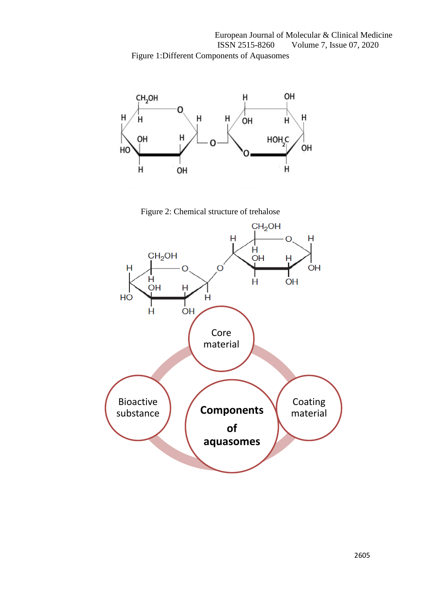European Journal of Molecular & Clinical Medicine ISSN 2515-8260 Volume 7, Issue 07, 2020 Figure 1:Different Components of Aquasomes



Figure 2: Chemical structure of trehalose

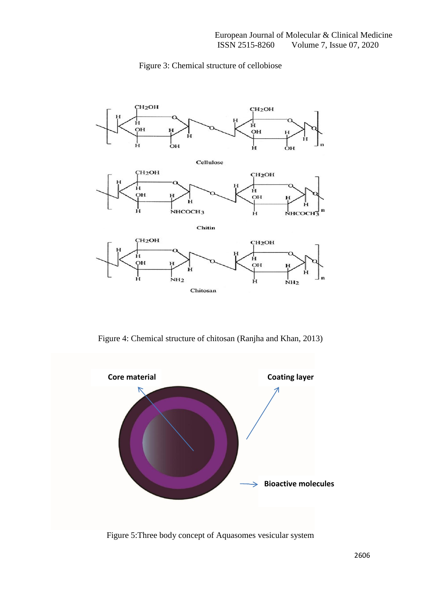

# Figure 3: Chemical structure of cellobiose

Figure 4: Chemical structure of chitosan (Ranjha and Khan, 2013)



Figure 5:Three body concept of Aquasomes vesicular system